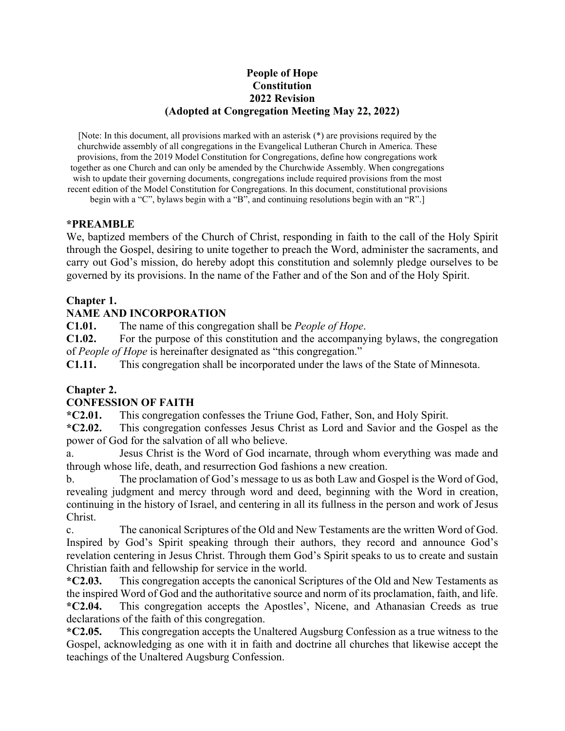#### **People of Hope Constitution 2022 Revision (Adopted at Congregation Meeting May 22, 2022)**

[Note: In this document, all provisions marked with an asterisk (\*) are provisions required by the churchwide assembly of all congregations in the Evangelical Lutheran Church in America. These provisions, from the 2019 Model Constitution for Congregations, define how congregations work together as one Church and can only be amended by the Churchwide Assembly. When congregations wish to update their governing documents, congregations include required provisions from the most recent edition of the Model Constitution for Congregations. In this document, constitutional provisions

begin with a "C", bylaws begin with a "B", and continuing resolutions begin with an "R".]

#### **\*PREAMBLE**

We, baptized members of the Church of Christ, responding in faith to the call of the Holy Spirit through the Gospel, desiring to unite together to preach the Word, administer the sacraments, and carry out God's mission, do hereby adopt this constitution and solemnly pledge ourselves to be governed by its provisions. In the name of the Father and of the Son and of the Holy Spirit.

#### **Chapter 1.**

#### **NAME AND INCORPORATION**

**C1.01.** The name of this congregation shall be *People of Hope*.

**C1.02.** For the purpose of this constitution and the accompanying bylaws, the congregation of *People of Hope* is hereinafter designated as "this congregation."

**C1.11.** This congregation shall be incorporated under the laws of the State of Minnesota.

#### **Chapter 2.**

#### **CONFESSION OF FAITH**

**\*C2.01.** This congregation confesses the Triune God, Father, Son, and Holy Spirit.

**\*C2.02.** This congregation confesses Jesus Christ as Lord and Savior and the Gospel as the power of God for the salvation of all who believe.

a. Jesus Christ is the Word of God incarnate, through whom everything was made and through whose life, death, and resurrection God fashions a new creation.

b. The proclamation of God's message to us as both Law and Gospel is the Word of God, revealing judgment and mercy through word and deed, beginning with the Word in creation, continuing in the history of Israel, and centering in all its fullness in the person and work of Jesus Christ.

c. The canonical Scriptures of the Old and New Testaments are the written Word of God. Inspired by God's Spirit speaking through their authors, they record and announce God's revelation centering in Jesus Christ. Through them God's Spirit speaks to us to create and sustain Christian faith and fellowship for service in the world.

**\*C2.03.** This congregation accepts the canonical Scriptures of the Old and New Testaments as the inspired Word of God and the authoritative source and norm of its proclamation, faith, and life. **\*C2.04.** This congregation accepts the Apostles', Nicene, and Athanasian Creeds as true declarations of the faith of this congregation.

**\*C2.05.** This congregation accepts the Unaltered Augsburg Confession as a true witness to the Gospel, acknowledging as one with it in faith and doctrine all churches that likewise accept the teachings of the Unaltered Augsburg Confession.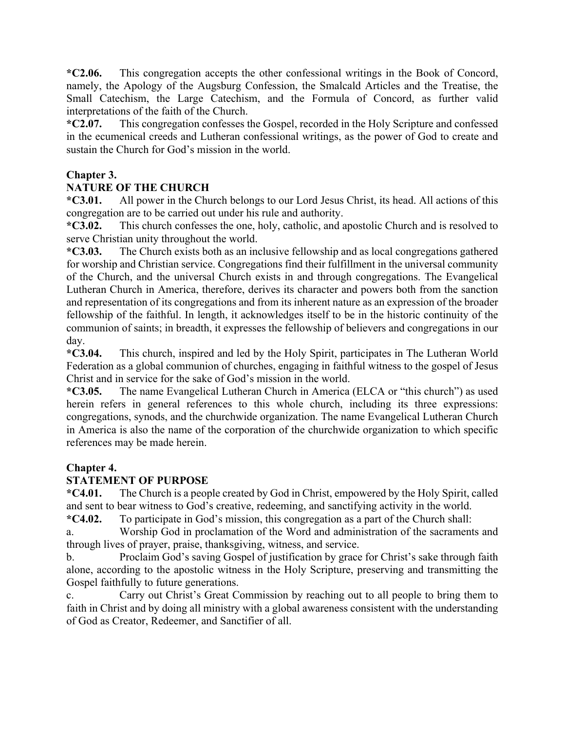**\*C2.06.** This congregation accepts the other confessional writings in the Book of Concord, namely, the Apology of the Augsburg Confession, the Smalcald Articles and the Treatise, the Small Catechism, the Large Catechism, and the Formula of Concord, as further valid interpretations of the faith of the Church.

**\*C2.07.** This congregation confesses the Gospel, recorded in the Holy Scripture and confessed in the ecumenical creeds and Lutheran confessional writings, as the power of God to create and sustain the Church for God's mission in the world.

## **Chapter 3.**

## **NATURE OF THE CHURCH**

**\*C3.01.** All power in the Church belongs to our Lord Jesus Christ, its head. All actions of this congregation are to be carried out under his rule and authority.

**\*C3.02.** This church confesses the one, holy, catholic, and apostolic Church and is resolved to serve Christian unity throughout the world.

**\*C3.03.** The Church exists both as an inclusive fellowship and as local congregations gathered for worship and Christian service. Congregations find their fulfillment in the universal community of the Church, and the universal Church exists in and through congregations. The Evangelical Lutheran Church in America, therefore, derives its character and powers both from the sanction and representation of its congregations and from its inherent nature as an expression of the broader fellowship of the faithful. In length, it acknowledges itself to be in the historic continuity of the communion of saints; in breadth, it expresses the fellowship of believers and congregations in our day.

**\*C3.04.** This church, inspired and led by the Holy Spirit, participates in The Lutheran World Federation as a global communion of churches, engaging in faithful witness to the gospel of Jesus Christ and in service for the sake of God's mission in the world.

**\*C3.05.** The name Evangelical Lutheran Church in America (ELCA or "this church") as used herein refers in general references to this whole church, including its three expressions: congregations, synods, and the churchwide organization. The name Evangelical Lutheran Church in America is also the name of the corporation of the churchwide organization to which specific references may be made herein.

#### **Chapter 4.**

## **STATEMENT OF PURPOSE**

**\*C4.01.** The Church is a people created by God in Christ, empowered by the Holy Spirit, called and sent to bear witness to God's creative, redeeming, and sanctifying activity in the world.

**\*C4.02.** To participate in God's mission, this congregation as a part of the Church shall:

a. Worship God in proclamation of the Word and administration of the sacraments and through lives of prayer, praise, thanksgiving, witness, and service.

b. Proclaim God's saving Gospel of justification by grace for Christ's sake through faith alone, according to the apostolic witness in the Holy Scripture, preserving and transmitting the Gospel faithfully to future generations.

c. Carry out Christ's Great Commission by reaching out to all people to bring them to faith in Christ and by doing all ministry with a global awareness consistent with the understanding of God as Creator, Redeemer, and Sanctifier of all.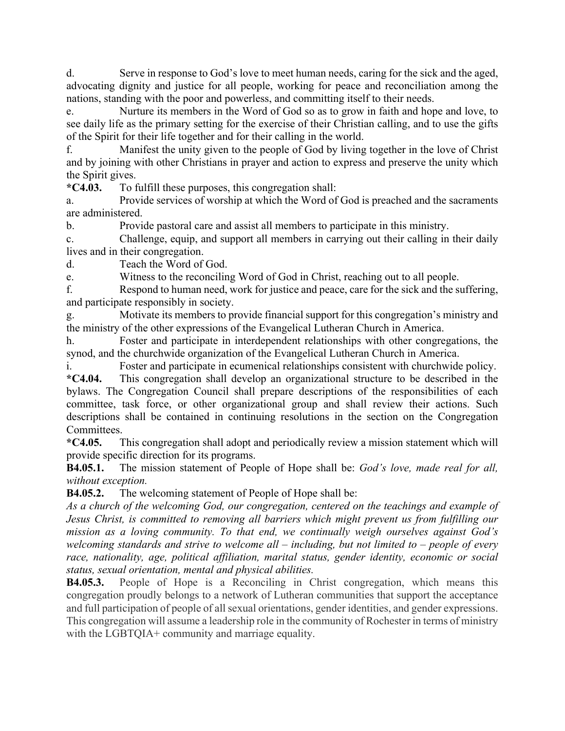d. Serve in response to God's love to meet human needs, caring for the sick and the aged, advocating dignity and justice for all people, working for peace and reconciliation among the nations, standing with the poor and powerless, and committing itself to their needs.

e. Nurture its members in the Word of God so as to grow in faith and hope and love, to see daily life as the primary setting for the exercise of their Christian calling, and to use the gifts of the Spirit for their life together and for their calling in the world.

f. Manifest the unity given to the people of God by living together in the love of Christ and by joining with other Christians in prayer and action to express and preserve the unity which the Spirit gives.

**\*C4.03.** To fulfill these purposes, this congregation shall:

a. Provide services of worship at which the Word of God is preached and the sacraments are administered.

b. Provide pastoral care and assist all members to participate in this ministry.

c. Challenge, equip, and support all members in carrying out their calling in their daily lives and in their congregation.

d. Teach the Word of God.

e. Witness to the reconciling Word of God in Christ, reaching out to all people.

f. Respond to human need, work for justice and peace, care for the sick and the suffering, and participate responsibly in society.

g. Motivate its members to provide financial support for this congregation's ministry and the ministry of the other expressions of the Evangelical Lutheran Church in America.

h. Foster and participate in interdependent relationships with other congregations, the synod, and the churchwide organization of the Evangelical Lutheran Church in America.

i. Foster and participate in ecumenical relationships consistent with churchwide policy.

**\*C4.04.** This congregation shall develop an organizational structure to be described in the bylaws. The Congregation Council shall prepare descriptions of the responsibilities of each committee, task force, or other organizational group and shall review their actions. Such descriptions shall be contained in continuing resolutions in the section on the Congregation Committees.

**\*C4.05.** This congregation shall adopt and periodically review a mission statement which will provide specific direction for its programs.

**B4.05.1.** The mission statement of People of Hope shall be: *God's love, made real for all, without exception.*

**B4.05.2.** The welcoming statement of People of Hope shall be:

*As a church of the welcoming God, our congregation, centered on the teachings and example of Jesus Christ, is committed to removing all barriers which might prevent us from fulfilling our mission as a loving community. To that end, we continually weigh ourselves against God's welcoming standards and strive to welcome all – including, but not limited to – people of every race, nationality, age, political affiliation, marital status, gender identity, economic or social status, sexual orientation, mental and physical abilities.*

**B4.05.3.** People of Hope is a Reconciling in Christ congregation, which means this congregation proudly belongs to a network of Lutheran communities that support the acceptance and full participation of people of all sexual orientations, gender identities, and gender expressions. This congregation will assume a leadership role in the community of Rochester in terms of ministry with the LGBTQIA+ community and marriage equality.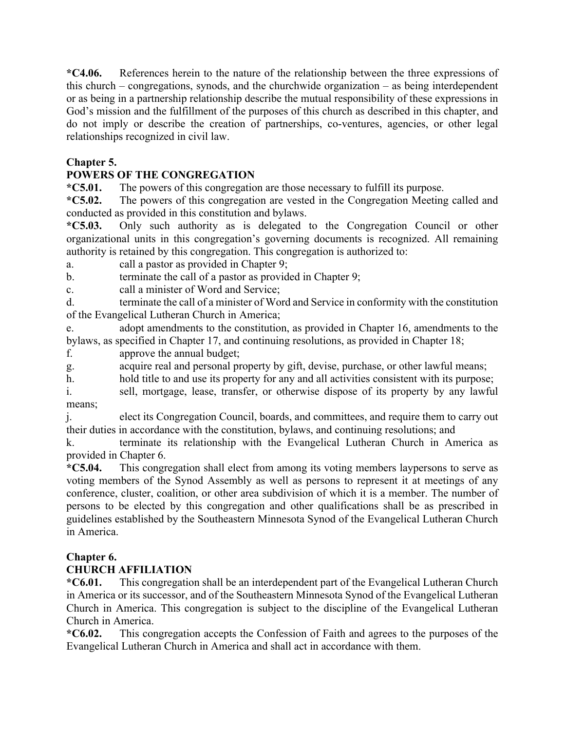**\*C4.06.** References herein to the nature of the relationship between the three expressions of this church – congregations, synods, and the churchwide organization – as being interdependent or as being in a partnership relationship describe the mutual responsibility of these expressions in God's mission and the fulfillment of the purposes of this church as described in this chapter, and do not imply or describe the creation of partnerships, co-ventures, agencies, or other legal relationships recognized in civil law.

## **Chapter 5.**

## **POWERS OF THE CONGREGATION**

**\*C5.01.** The powers of this congregation are those necessary to fulfill its purpose.

**\*C5.02.** The powers of this congregation are vested in the Congregation Meeting called and conducted as provided in this constitution and bylaws.

**\*C5.03.** Only such authority as is delegated to the Congregation Council or other organizational units in this congregation's governing documents is recognized. All remaining authority is retained by this congregation. This congregation is authorized to:

a. call a pastor as provided in Chapter 9;

b. terminate the call of a pastor as provided in Chapter 9;

c. call a minister of Word and Service;

d. terminate the call of a minister of Word and Service in conformity with the constitution of the Evangelical Lutheran Church in America;

e. adopt amendments to the constitution, as provided in Chapter 16, amendments to the bylaws, as specified in Chapter 17, and continuing resolutions, as provided in Chapter 18;

f. approve the annual budget;

g. acquire real and personal property by gift, devise, purchase, or other lawful means;

h. hold title to and use its property for any and all activities consistent with its purpose;

i. sell, mortgage, lease, transfer, or otherwise dispose of its property by any lawful means;

j. elect its Congregation Council, boards, and committees, and require them to carry out their duties in accordance with the constitution, bylaws, and continuing resolutions; and

k. terminate its relationship with the Evangelical Lutheran Church in America as provided in Chapter 6.

**\*C5.04.** This congregation shall elect from among its voting members laypersons to serve as voting members of the Synod Assembly as well as persons to represent it at meetings of any conference, cluster, coalition, or other area subdivision of which it is a member. The number of persons to be elected by this congregation and other qualifications shall be as prescribed in guidelines established by the Southeastern Minnesota Synod of the Evangelical Lutheran Church in America.

## **Chapter 6.**

## **CHURCH AFFILIATION**

**\*C6.01.** This congregation shall be an interdependent part of the Evangelical Lutheran Church in America or its successor, and of the Southeastern Minnesota Synod of the Evangelical Lutheran Church in America. This congregation is subject to the discipline of the Evangelical Lutheran Church in America.

**\*C6.02.** This congregation accepts the Confession of Faith and agrees to the purposes of the Evangelical Lutheran Church in America and shall act in accordance with them.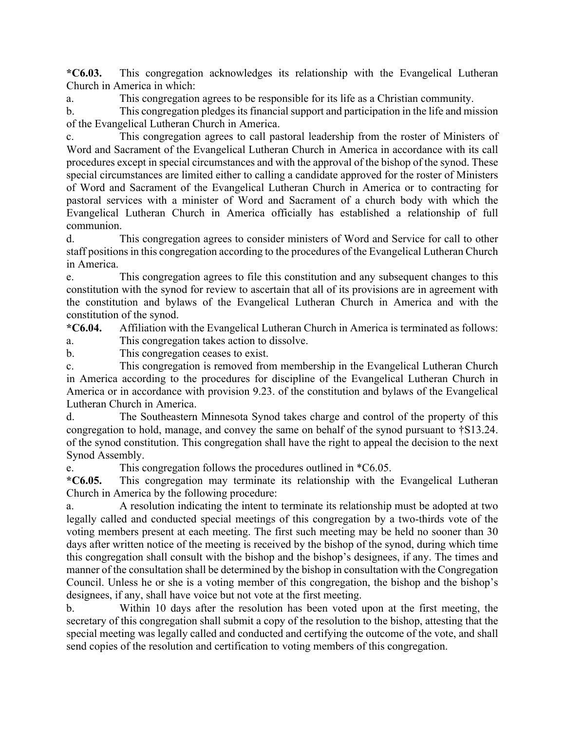**\*C6.03.** This congregation acknowledges its relationship with the Evangelical Lutheran Church in America in which:

a. This congregation agrees to be responsible for its life as a Christian community.

b. This congregation pledges its financial support and participation in the life and mission of the Evangelical Lutheran Church in America.

c. This congregation agrees to call pastoral leadership from the roster of Ministers of Word and Sacrament of the Evangelical Lutheran Church in America in accordance with its call procedures except in special circumstances and with the approval of the bishop of the synod. These special circumstances are limited either to calling a candidate approved for the roster of Ministers of Word and Sacrament of the Evangelical Lutheran Church in America or to contracting for pastoral services with a minister of Word and Sacrament of a church body with which the Evangelical Lutheran Church in America officially has established a relationship of full communion.

d. This congregation agrees to consider ministers of Word and Service for call to other staff positions in this congregation according to the procedures of the Evangelical Lutheran Church in America.

e. This congregation agrees to file this constitution and any subsequent changes to this constitution with the synod for review to ascertain that all of its provisions are in agreement with the constitution and bylaws of the Evangelical Lutheran Church in America and with the constitution of the synod.

**\*C6.04.** Affiliation with the Evangelical Lutheran Church in America is terminated as follows: a. This congregation takes action to dissolve.

b. This congregation ceases to exist.

c. This congregation is removed from membership in the Evangelical Lutheran Church in America according to the procedures for discipline of the Evangelical Lutheran Church in America or in accordance with provision 9.23. of the constitution and bylaws of the Evangelical Lutheran Church in America.

d. The Southeastern Minnesota Synod takes charge and control of the property of this congregation to hold, manage, and convey the same on behalf of the synod pursuant to †S13.24. of the synod constitution. This congregation shall have the right to appeal the decision to the next Synod Assembly.

e. This congregation follows the procedures outlined in \*C6.05.

**\*C6.05.** This congregation may terminate its relationship with the Evangelical Lutheran Church in America by the following procedure:

a. A resolution indicating the intent to terminate its relationship must be adopted at two legally called and conducted special meetings of this congregation by a two-thirds vote of the voting members present at each meeting. The first such meeting may be held no sooner than 30 days after written notice of the meeting is received by the bishop of the synod, during which time this congregation shall consult with the bishop and the bishop's designees, if any. The times and manner of the consultation shall be determined by the bishop in consultation with the Congregation Council. Unless he or she is a voting member of this congregation, the bishop and the bishop's designees, if any, shall have voice but not vote at the first meeting.

b. Within 10 days after the resolution has been voted upon at the first meeting, the secretary of this congregation shall submit a copy of the resolution to the bishop, attesting that the special meeting was legally called and conducted and certifying the outcome of the vote, and shall send copies of the resolution and certification to voting members of this congregation.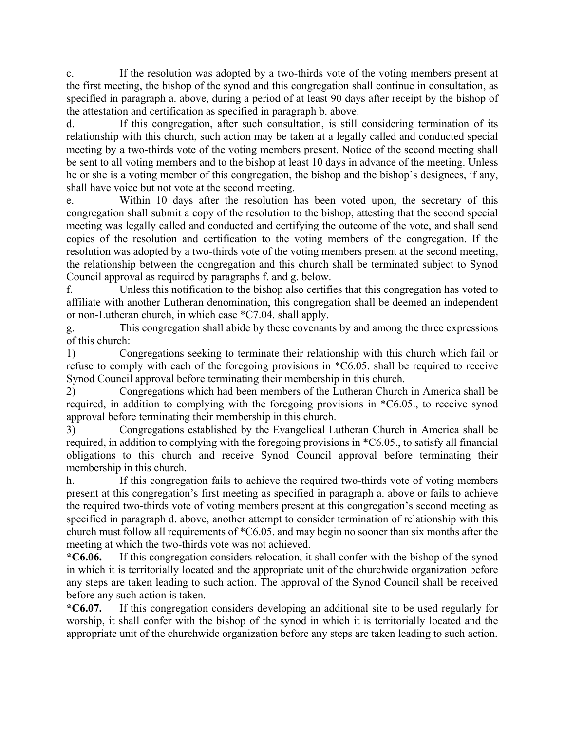c. If the resolution was adopted by a two-thirds vote of the voting members present at the first meeting, the bishop of the synod and this congregation shall continue in consultation, as specified in paragraph a. above, during a period of at least 90 days after receipt by the bishop of the attestation and certification as specified in paragraph b. above.

d. If this congregation, after such consultation, is still considering termination of its relationship with this church, such action may be taken at a legally called and conducted special meeting by a two-thirds vote of the voting members present. Notice of the second meeting shall be sent to all voting members and to the bishop at least 10 days in advance of the meeting. Unless he or she is a voting member of this congregation, the bishop and the bishop's designees, if any, shall have voice but not vote at the second meeting.

e. Within 10 days after the resolution has been voted upon, the secretary of this congregation shall submit a copy of the resolution to the bishop, attesting that the second special meeting was legally called and conducted and certifying the outcome of the vote, and shall send copies of the resolution and certification to the voting members of the congregation. If the resolution was adopted by a two-thirds vote of the voting members present at the second meeting, the relationship between the congregation and this church shall be terminated subject to Synod Council approval as required by paragraphs f. and g. below.

f. Unless this notification to the bishop also certifies that this congregation has voted to affiliate with another Lutheran denomination, this congregation shall be deemed an independent or non-Lutheran church, in which case \*C7.04. shall apply.

g. This congregation shall abide by these covenants by and among the three expressions of this church:

1) Congregations seeking to terminate their relationship with this church which fail or refuse to comply with each of the foregoing provisions in \*C6.05. shall be required to receive Synod Council approval before terminating their membership in this church.

2) Congregations which had been members of the Lutheran Church in America shall be required, in addition to complying with the foregoing provisions in \*C6.05., to receive synod approval before terminating their membership in this church.

3) Congregations established by the Evangelical Lutheran Church in America shall be required, in addition to complying with the foregoing provisions in \*C6.05., to satisfy all financial obligations to this church and receive Synod Council approval before terminating their membership in this church.

h. If this congregation fails to achieve the required two-thirds vote of voting members present at this congregation's first meeting as specified in paragraph a. above or fails to achieve the required two-thirds vote of voting members present at this congregation's second meeting as specified in paragraph d. above, another attempt to consider termination of relationship with this church must follow all requirements of \*C6.05. and may begin no sooner than six months after the meeting at which the two-thirds vote was not achieved.

**\*C6.06.** If this congregation considers relocation, it shall confer with the bishop of the synod in which it is territorially located and the appropriate unit of the churchwide organization before any steps are taken leading to such action. The approval of the Synod Council shall be received before any such action is taken.

**\*C6.07.** If this congregation considers developing an additional site to be used regularly for worship, it shall confer with the bishop of the synod in which it is territorially located and the appropriate unit of the churchwide organization before any steps are taken leading to such action.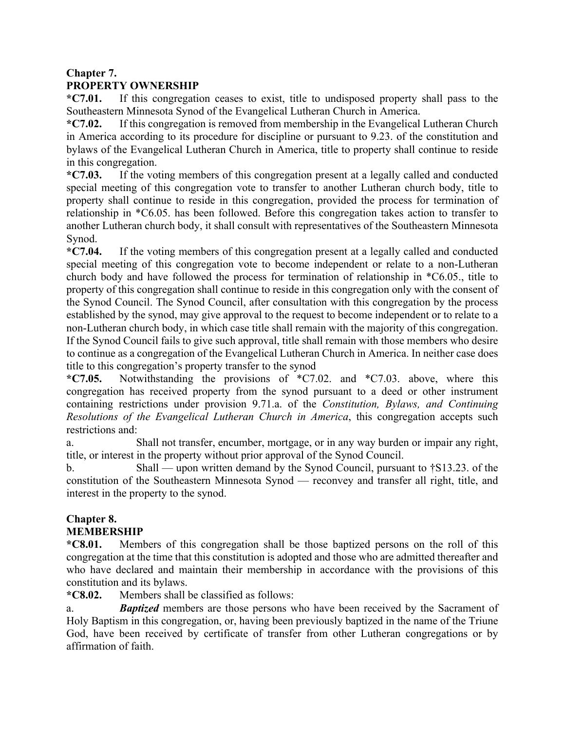## **Chapter 7.**

## **PROPERTY OWNERSHIP**

**\*C7.01.** If this congregation ceases to exist, title to undisposed property shall pass to the Southeastern Minnesota Synod of the Evangelical Lutheran Church in America.

**\*C7.02.** If this congregation is removed from membership in the Evangelical Lutheran Church in America according to its procedure for discipline or pursuant to 9.23. of the constitution and bylaws of the Evangelical Lutheran Church in America, title to property shall continue to reside in this congregation.

**\*C7.03.** If the voting members of this congregation present at a legally called and conducted special meeting of this congregation vote to transfer to another Lutheran church body, title to property shall continue to reside in this congregation, provided the process for termination of relationship in \*C6.05. has been followed. Before this congregation takes action to transfer to another Lutheran church body, it shall consult with representatives of the Southeastern Minnesota Synod.

**\*C7.04.** If the voting members of this congregation present at a legally called and conducted special meeting of this congregation vote to become independent or relate to a non-Lutheran church body and have followed the process for termination of relationship in \*C6.05., title to property of this congregation shall continue to reside in this congregation only with the consent of the Synod Council. The Synod Council, after consultation with this congregation by the process established by the synod, may give approval to the request to become independent or to relate to a non-Lutheran church body, in which case title shall remain with the majority of this congregation. If the Synod Council fails to give such approval, title shall remain with those members who desire to continue as a congregation of the Evangelical Lutheran Church in America. In neither case does title to this congregation's property transfer to the synod

**\*C7.05.** Notwithstanding the provisions of \*C7.02. and \*C7.03. above, where this congregation has received property from the synod pursuant to a deed or other instrument containing restrictions under provision 9.71.a. of the *Constitution, Bylaws, and Continuing Resolutions of the Evangelical Lutheran Church in America*, this congregation accepts such restrictions and:

a. Shall not transfer, encumber, mortgage, or in any way burden or impair any right, title, or interest in the property without prior approval of the Synod Council.

b. Shall — upon written demand by the Synod Council, pursuant to †S13.23. of the constitution of the Southeastern Minnesota Synod — reconvey and transfer all right, title, and interest in the property to the synod.

#### **Chapter 8. MEMBERSHIP**

**\*C8.01.** Members of this congregation shall be those baptized persons on the roll of this congregation at the time that this constitution is adopted and those who are admitted thereafter and who have declared and maintain their membership in accordance with the provisions of this constitution and its bylaws.

#### **\*C8.02.** Members shall be classified as follows:

a. *Baptized* members are those persons who have been received by the Sacrament of Holy Baptism in this congregation, or, having been previously baptized in the name of the Triune God, have been received by certificate of transfer from other Lutheran congregations or by affirmation of faith.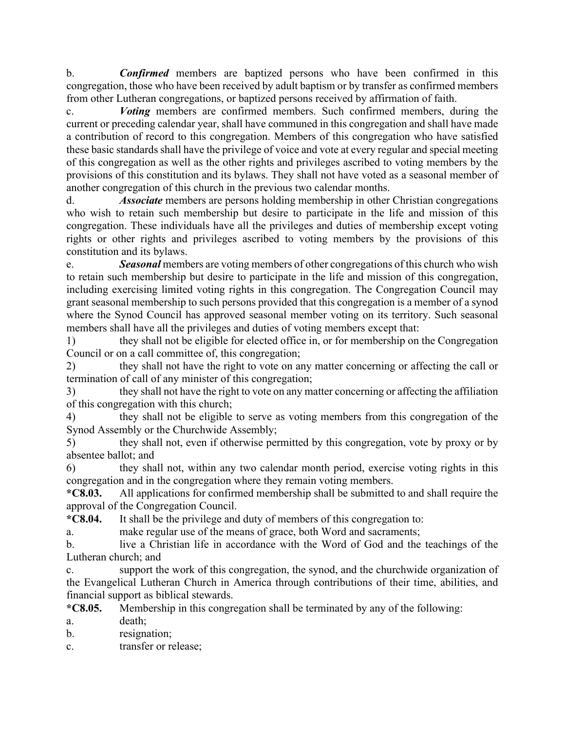b. *Confirmed* members are baptized persons who have been confirmed in this congregation, those who have been received by adult baptism or by transfer as confirmed members from other Lutheran congregations, or baptized persons received by affirmation of faith.

c. *Voting* members are confirmed members. Such confirmed members, during the current or preceding calendar year, shall have communed in this congregation and shall have made a contribution of record to this congregation. Members of this congregation who have satisfied these basic standards shall have the privilege of voice and vote at every regular and special meeting of this congregation as well as the other rights and privileges ascribed to voting members by the provisions of this constitution and its bylaws. They shall not have voted as a seasonal member of another congregation of this church in the previous two calendar months.

d. *Associate* members are persons holding membership in other Christian congregations who wish to retain such membership but desire to participate in the life and mission of this congregation. These individuals have all the privileges and duties of membership except voting rights or other rights and privileges ascribed to voting members by the provisions of this constitution and its bylaws.

e. *Seasonal* members are voting members of other congregations of this church who wish to retain such membership but desire to participate in the life and mission of this congregation, including exercising limited voting rights in this congregation. The Congregation Council may grant seasonal membership to such persons provided that this congregation is a member of a synod where the Synod Council has approved seasonal member voting on its territory. Such seasonal members shall have all the privileges and duties of voting members except that:

1) they shall not be eligible for elected office in, or for membership on the Congregation Council or on a call committee of, this congregation;

2) they shall not have the right to vote on any matter concerning or affecting the call or termination of call of any minister of this congregation;

3) they shall not have the right to vote on any matter concerning or affecting the affiliation of this congregation with this church;

4) they shall not be eligible to serve as voting members from this congregation of the Synod Assembly or the Churchwide Assembly;

5) they shall not, even if otherwise permitted by this congregation, vote by proxy or by absentee ballot; and

6) they shall not, within any two calendar month period, exercise voting rights in this congregation and in the congregation where they remain voting members.

**\*C8.03.** All applications for confirmed membership shall be submitted to and shall require the approval of the Congregation Council.

**\*C8.04.** It shall be the privilege and duty of members of this congregation to:

a. make regular use of the means of grace, both Word and sacraments;

b. live a Christian life in accordance with the Word of God and the teachings of the Lutheran church; and

c. support the work of this congregation, the synod, and the churchwide organization of the Evangelical Lutheran Church in America through contributions of their time, abilities, and financial support as biblical stewards.

**\*C8.05.** Membership in this congregation shall be terminated by any of the following:

a. death;

b. resignation;

c. transfer or release;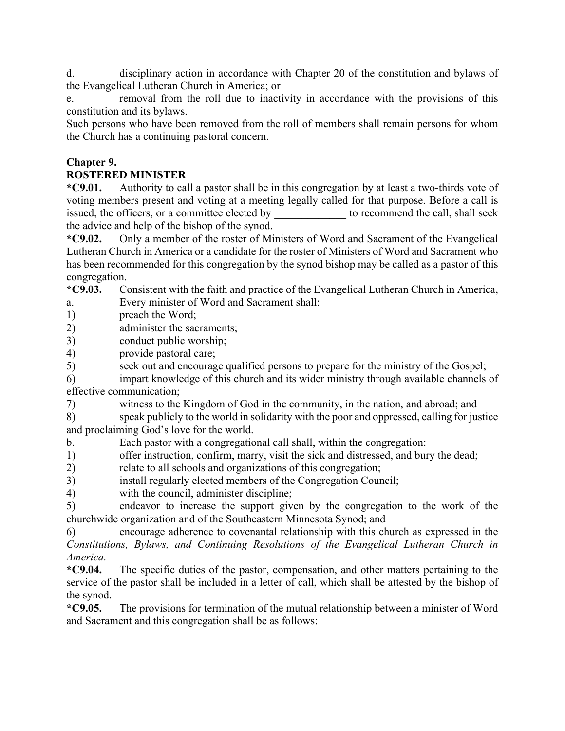d. disciplinary action in accordance with Chapter 20 of the constitution and bylaws of the Evangelical Lutheran Church in America; or

e. removal from the roll due to inactivity in accordance with the provisions of this constitution and its bylaws.

Such persons who have been removed from the roll of members shall remain persons for whom the Church has a continuing pastoral concern.

#### **Chapter 9.**

#### **ROSTERED MINISTER**

**\*C9.01.** Authority to call a pastor shall be in this congregation by at least a two-thirds vote of voting members present and voting at a meeting legally called for that purpose. Before a call is issued, the officers, or a committee elected by to recommend the call, shall seek the advice and help of the bishop of the synod.

**\*C9.02.** Only a member of the roster of Ministers of Word and Sacrament of the Evangelical Lutheran Church in America or a candidate for the roster of Ministers of Word and Sacrament who has been recommended for this congregation by the synod bishop may be called as a pastor of this congregation.

**\*C9.03.** Consistent with the faith and practice of the Evangelical Lutheran Church in America, a. Every minister of Word and Sacrament shall:

1) preach the Word;

2) administer the sacraments;

3) conduct public worship;

4) provide pastoral care;

5) seek out and encourage qualified persons to prepare for the ministry of the Gospel;

6) impart knowledge of this church and its wider ministry through available channels of effective communication;

7) witness to the Kingdom of God in the community, in the nation, and abroad; and

8) speak publicly to the world in solidarity with the poor and oppressed, calling for justice and proclaiming God's love for the world.

b. Each pastor with a congregational call shall, within the congregation:

1) offer instruction, confirm, marry, visit the sick and distressed, and bury the dead;

- 2) relate to all schools and organizations of this congregation;
- 3) install regularly elected members of the Congregation Council;
- 4) with the council, administer discipline;

5) endeavor to increase the support given by the congregation to the work of the churchwide organization and of the Southeastern Minnesota Synod; and

6) encourage adherence to covenantal relationship with this church as expressed in the *Constitutions, Bylaws, and Continuing Resolutions of the Evangelical Lutheran Church in America.*

**\*C9.04.** The specific duties of the pastor, compensation, and other matters pertaining to the service of the pastor shall be included in a letter of call, which shall be attested by the bishop of the synod.

**\*C9.05.** The provisions for termination of the mutual relationship between a minister of Word and Sacrament and this congregation shall be as follows: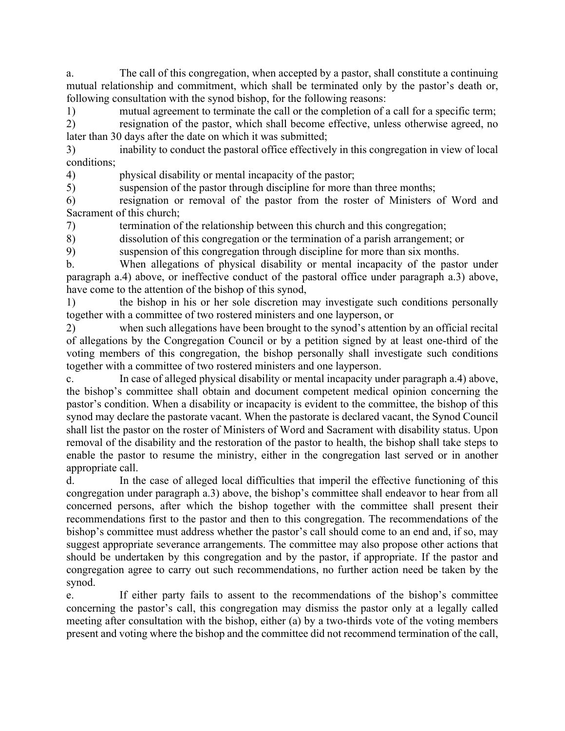a. The call of this congregation, when accepted by a pastor, shall constitute a continuing mutual relationship and commitment, which shall be terminated only by the pastor's death or, following consultation with the synod bishop, for the following reasons:

1) mutual agreement to terminate the call or the completion of a call for a specific term; 2) resignation of the pastor, which shall become effective, unless otherwise agreed, no later than 30 days after the date on which it was submitted;

3) inability to conduct the pastoral office effectively in this congregation in view of local conditions;

4) physical disability or mental incapacity of the pastor;

5) suspension of the pastor through discipline for more than three months;

6) resignation or removal of the pastor from the roster of Ministers of Word and Sacrament of this church;

7) termination of the relationship between this church and this congregation;

8) dissolution of this congregation or the termination of a parish arrangement; or

9) suspension of this congregation through discipline for more than six months.

b. When allegations of physical disability or mental incapacity of the pastor under paragraph a.4) above, or ineffective conduct of the pastoral office under paragraph a.3) above, have come to the attention of the bishop of this synod,

1) the bishop in his or her sole discretion may investigate such conditions personally together with a committee of two rostered ministers and one layperson, or

2) when such allegations have been brought to the synod's attention by an official recital of allegations by the Congregation Council or by a petition signed by at least one-third of the voting members of this congregation, the bishop personally shall investigate such conditions together with a committee of two rostered ministers and one layperson.

c. In case of alleged physical disability or mental incapacity under paragraph a.4) above, the bishop's committee shall obtain and document competent medical opinion concerning the pastor's condition. When a disability or incapacity is evident to the committee, the bishop of this synod may declare the pastorate vacant. When the pastorate is declared vacant, the Synod Council shall list the pastor on the roster of Ministers of Word and Sacrament with disability status. Upon removal of the disability and the restoration of the pastor to health, the bishop shall take steps to enable the pastor to resume the ministry, either in the congregation last served or in another appropriate call.

d. In the case of alleged local difficulties that imperil the effective functioning of this congregation under paragraph a.3) above, the bishop's committee shall endeavor to hear from all concerned persons, after which the bishop together with the committee shall present their recommendations first to the pastor and then to this congregation. The recommendations of the bishop's committee must address whether the pastor's call should come to an end and, if so, may suggest appropriate severance arrangements. The committee may also propose other actions that should be undertaken by this congregation and by the pastor, if appropriate. If the pastor and congregation agree to carry out such recommendations, no further action need be taken by the synod.

e. If either party fails to assent to the recommendations of the bishop's committee concerning the pastor's call, this congregation may dismiss the pastor only at a legally called meeting after consultation with the bishop, either (a) by a two-thirds vote of the voting members present and voting where the bishop and the committee did not recommend termination of the call,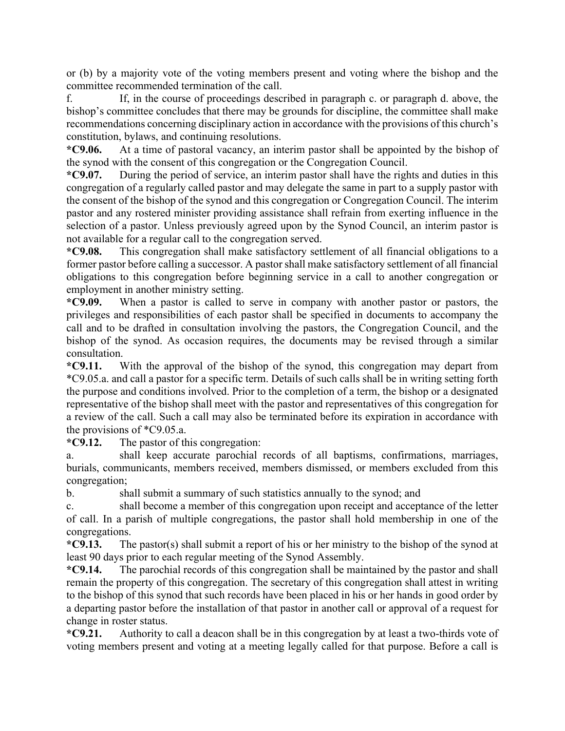or (b) by a majority vote of the voting members present and voting where the bishop and the committee recommended termination of the call.

f. If, in the course of proceedings described in paragraph c. or paragraph d. above, the bishop's committee concludes that there may be grounds for discipline, the committee shall make recommendations concerning disciplinary action in accordance with the provisions of this church's constitution, bylaws, and continuing resolutions.

**\*C9.06.** At a time of pastoral vacancy, an interim pastor shall be appointed by the bishop of the synod with the consent of this congregation or the Congregation Council.

**\*C9.07.** During the period of service, an interim pastor shall have the rights and duties in this congregation of a regularly called pastor and may delegate the same in part to a supply pastor with the consent of the bishop of the synod and this congregation or Congregation Council. The interim pastor and any rostered minister providing assistance shall refrain from exerting influence in the selection of a pastor. Unless previously agreed upon by the Synod Council, an interim pastor is not available for a regular call to the congregation served.

**\*C9.08.** This congregation shall make satisfactory settlement of all financial obligations to a former pastor before calling a successor. A pastor shall make satisfactory settlement of all financial obligations to this congregation before beginning service in a call to another congregation or employment in another ministry setting.

**\*C9.09.** When a pastor is called to serve in company with another pastor or pastors, the privileges and responsibilities of each pastor shall be specified in documents to accompany the call and to be drafted in consultation involving the pastors, the Congregation Council, and the bishop of the synod. As occasion requires, the documents may be revised through a similar consultation.

**\*C9.11.** With the approval of the bishop of the synod, this congregation may depart from \*C9.05.a. and call a pastor for a specific term. Details of such calls shall be in writing setting forth the purpose and conditions involved. Prior to the completion of a term, the bishop or a designated representative of the bishop shall meet with the pastor and representatives of this congregation for a review of the call. Such a call may also be terminated before its expiration in accordance with the provisions of \*C9.05.a.

**\*C9.12.** The pastor of this congregation:

a. shall keep accurate parochial records of all baptisms, confirmations, marriages, burials, communicants, members received, members dismissed, or members excluded from this congregation;

b. shall submit a summary of such statistics annually to the synod; and

c. shall become a member of this congregation upon receipt and acceptance of the letter of call. In a parish of multiple congregations, the pastor shall hold membership in one of the congregations.

**\*C9.13.** The pastor(s) shall submit a report of his or her ministry to the bishop of the synod at least 90 days prior to each regular meeting of the Synod Assembly.

**\*C9.14.** The parochial records of this congregation shall be maintained by the pastor and shall remain the property of this congregation. The secretary of this congregation shall attest in writing to the bishop of this synod that such records have been placed in his or her hands in good order by a departing pastor before the installation of that pastor in another call or approval of a request for change in roster status.

**\*C9.21.** Authority to call a deacon shall be in this congregation by at least a two-thirds vote of voting members present and voting at a meeting legally called for that purpose. Before a call is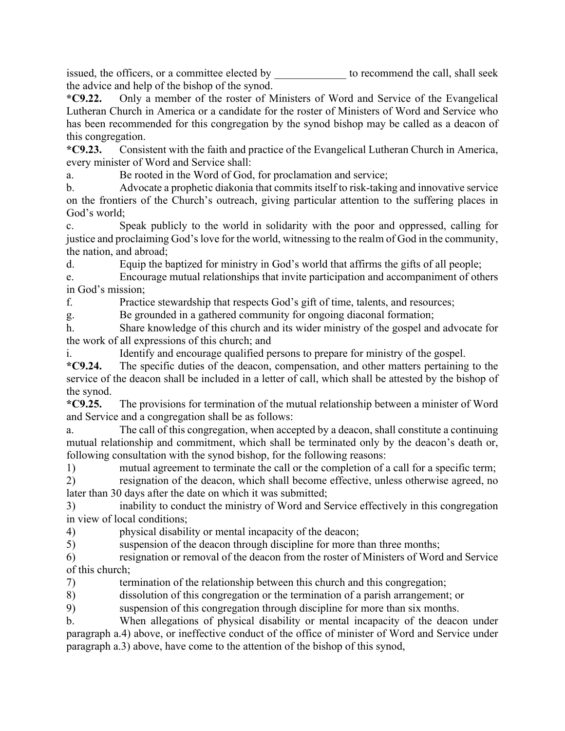issued, the officers, or a committee elected by to recommend the call, shall seek the advice and help of the bishop of the synod.

**\*C9.22.** Only a member of the roster of Ministers of Word and Service of the Evangelical Lutheran Church in America or a candidate for the roster of Ministers of Word and Service who has been recommended for this congregation by the synod bishop may be called as a deacon of this congregation.

**\*C9.23.** Consistent with the faith and practice of the Evangelical Lutheran Church in America, every minister of Word and Service shall:

a. Be rooted in the Word of God, for proclamation and service;

b. Advocate a prophetic diakonia that commits itself to risk-taking and innovative service on the frontiers of the Church's outreach, giving particular attention to the suffering places in God's world;

c. Speak publicly to the world in solidarity with the poor and oppressed, calling for justice and proclaiming God's love for the world, witnessing to the realm of God in the community, the nation, and abroad;

d. Equip the baptized for ministry in God's world that affirms the gifts of all people;

e. Encourage mutual relationships that invite participation and accompaniment of others in God's mission;

f. Practice stewardship that respects God's gift of time, talents, and resources;

g. Be grounded in a gathered community for ongoing diaconal formation;

h. Share knowledge of this church and its wider ministry of the gospel and advocate for the work of all expressions of this church; and

i. Identify and encourage qualified persons to prepare for ministry of the gospel.

**\*C9.24.** The specific duties of the deacon, compensation, and other matters pertaining to the service of the deacon shall be included in a letter of call, which shall be attested by the bishop of the synod.

**\*C9.25.** The provisions for termination of the mutual relationship between a minister of Word and Service and a congregation shall be as follows:

a. The call of this congregation, when accepted by a deacon, shall constitute a continuing mutual relationship and commitment, which shall be terminated only by the deacon's death or, following consultation with the synod bishop, for the following reasons:

1) mutual agreement to terminate the call or the completion of a call for a specific term; 2) resignation of the deacon, which shall become effective, unless otherwise agreed, no

later than 30 days after the date on which it was submitted;

3) inability to conduct the ministry of Word and Service effectively in this congregation in view of local conditions;

4) physical disability or mental incapacity of the deacon;

5) suspension of the deacon through discipline for more than three months;

6) resignation or removal of the deacon from the roster of Ministers of Word and Service of this church;

7) termination of the relationship between this church and this congregation;

8) dissolution of this congregation or the termination of a parish arrangement; or

9) suspension of this congregation through discipline for more than six months.

b. When allegations of physical disability or mental incapacity of the deacon under paragraph a.4) above, or ineffective conduct of the office of minister of Word and Service under paragraph a.3) above, have come to the attention of the bishop of this synod,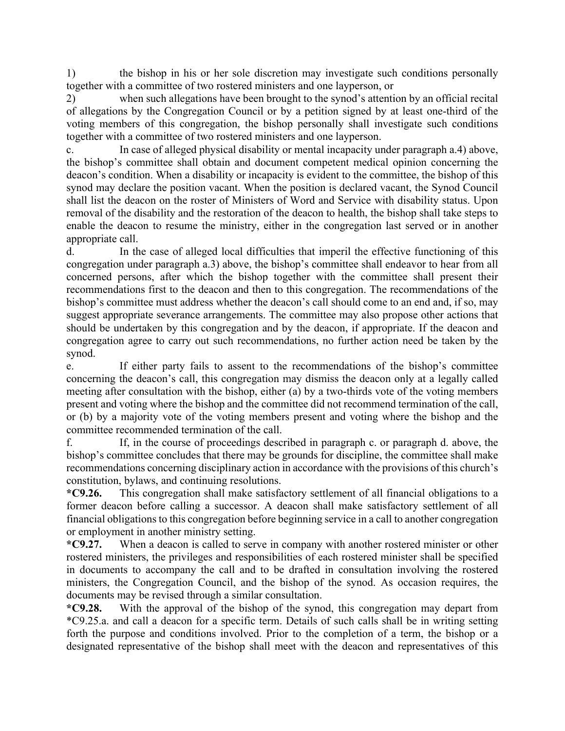1) the bishop in his or her sole discretion may investigate such conditions personally together with a committee of two rostered ministers and one layperson, or

2) when such allegations have been brought to the synod's attention by an official recital of allegations by the Congregation Council or by a petition signed by at least one-third of the voting members of this congregation, the bishop personally shall investigate such conditions together with a committee of two rostered ministers and one layperson.

c. In case of alleged physical disability or mental incapacity under paragraph a.4) above, the bishop's committee shall obtain and document competent medical opinion concerning the deacon's condition. When a disability or incapacity is evident to the committee, the bishop of this synod may declare the position vacant. When the position is declared vacant, the Synod Council shall list the deacon on the roster of Ministers of Word and Service with disability status. Upon removal of the disability and the restoration of the deacon to health, the bishop shall take steps to enable the deacon to resume the ministry, either in the congregation last served or in another appropriate call.

d. In the case of alleged local difficulties that imperil the effective functioning of this congregation under paragraph a.3) above, the bishop's committee shall endeavor to hear from all concerned persons, after which the bishop together with the committee shall present their recommendations first to the deacon and then to this congregation. The recommendations of the bishop's committee must address whether the deacon's call should come to an end and, if so, may suggest appropriate severance arrangements. The committee may also propose other actions that should be undertaken by this congregation and by the deacon, if appropriate. If the deacon and congregation agree to carry out such recommendations, no further action need be taken by the synod.

e. If either party fails to assent to the recommendations of the bishop's committee concerning the deacon's call, this congregation may dismiss the deacon only at a legally called meeting after consultation with the bishop, either (a) by a two-thirds vote of the voting members present and voting where the bishop and the committee did not recommend termination of the call, or (b) by a majority vote of the voting members present and voting where the bishop and the committee recommended termination of the call.

f. If, in the course of proceedings described in paragraph c. or paragraph d. above, the bishop's committee concludes that there may be grounds for discipline, the committee shall make recommendations concerning disciplinary action in accordance with the provisions of this church's constitution, bylaws, and continuing resolutions.

**\*C9.26.** This congregation shall make satisfactory settlement of all financial obligations to a former deacon before calling a successor. A deacon shall make satisfactory settlement of all financial obligations to this congregation before beginning service in a call to another congregation or employment in another ministry setting.

**\*C9.27.** When a deacon is called to serve in company with another rostered minister or other rostered ministers, the privileges and responsibilities of each rostered minister shall be specified in documents to accompany the call and to be drafted in consultation involving the rostered ministers, the Congregation Council, and the bishop of the synod. As occasion requires, the documents may be revised through a similar consultation.

**\*C9.28.** With the approval of the bishop of the synod, this congregation may depart from \*C9.25.a. and call a deacon for a specific term. Details of such calls shall be in writing setting forth the purpose and conditions involved. Prior to the completion of a term, the bishop or a designated representative of the bishop shall meet with the deacon and representatives of this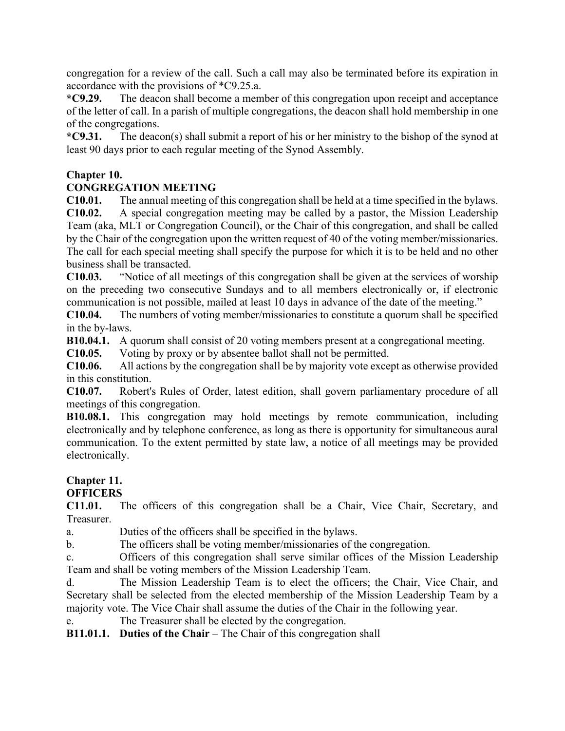congregation for a review of the call. Such a call may also be terminated before its expiration in accordance with the provisions of \*C9.25.a.

**\*C9.29.** The deacon shall become a member of this congregation upon receipt and acceptance of the letter of call. In a parish of multiple congregations, the deacon shall hold membership in one of the congregations.

**\*C9.31.** The deacon(s) shall submit a report of his or her ministry to the bishop of the synod at least 90 days prior to each regular meeting of the Synod Assembly.

#### **Chapter 10.**

## **CONGREGATION MEETING**

**C10.01.** The annual meeting of this congregation shall be held at a time specified in the bylaws. **C10.02.** A special congregation meeting may be called by a pastor, the Mission Leadership Team (aka, MLT or Congregation Council), or the Chair of this congregation, and shall be called by the Chair of the congregation upon the written request of 40 of the voting member/missionaries. The call for each special meeting shall specify the purpose for which it is to be held and no other business shall be transacted.

**C10.03.** "Notice of all meetings of this congregation shall be given at the services of worship on the preceding two consecutive Sundays and to all members electronically or, if electronic communication is not possible, mailed at least 10 days in advance of the date of the meeting."

**C10.04.** The numbers of voting member/missionaries to constitute a quorum shall be specified in the by-laws.

**B10.04.1.** A quorum shall consist of 20 voting members present at a congregational meeting.

**C10.05.** Voting by proxy or by absentee ballot shall not be permitted.

**C10.06.** All actions by the congregation shall be by majority vote except as otherwise provided in this constitution.

**C10.07.** Robert's Rules of Order, latest edition, shall govern parliamentary procedure of all meetings of this congregation.

**B10.08.1.** This congregation may hold meetings by remote communication, including electronically and by telephone conference, as long as there is opportunity for simultaneous aural communication. To the extent permitted by state law, a notice of all meetings may be provided electronically.

## **Chapter 11.**

## **OFFICERS**

**C11.01.** The officers of this congregation shall be a Chair, Vice Chair, Secretary, and Treasurer.

a. Duties of the officers shall be specified in the bylaws.

b. The officers shall be voting member/missionaries of the congregation.

c. Officers of this congregation shall serve similar offices of the Mission Leadership Team and shall be voting members of the Mission Leadership Team.

d. The Mission Leadership Team is to elect the officers; the Chair, Vice Chair, and Secretary shall be selected from the elected membership of the Mission Leadership Team by a majority vote. The Vice Chair shall assume the duties of the Chair in the following year.

e. The Treasurer shall be elected by the congregation.

**B11.01.1. Duties of the Chair** – The Chair of this congregation shall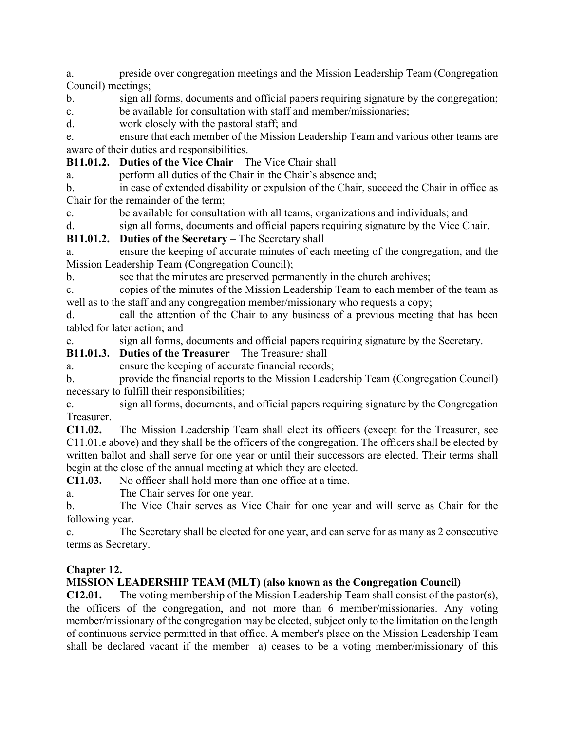a. preside over congregation meetings and the Mission Leadership Team (Congregation Council) meetings;

b. sign all forms, documents and official papers requiring signature by the congregation; c. be available for consultation with staff and member/missionaries;

d. work closely with the pastoral staff; and

e. ensure that each member of the Mission Leadership Team and various other teams are aware of their duties and responsibilities.

**B11.01.2. Duties of the Vice Chair** – The Vice Chair shall

a. perform all duties of the Chair in the Chair's absence and;

b. in case of extended disability or expulsion of the Chair, succeed the Chair in office as Chair for the remainder of the term;

c. be available for consultation with all teams, organizations and individuals; and

d. sign all forms, documents and official papers requiring signature by the Vice Chair.

**B11.01.2. Duties of the Secretary** – The Secretary shall

a. ensure the keeping of accurate minutes of each meeting of the congregation, and the Mission Leadership Team (Congregation Council);

b. see that the minutes are preserved permanently in the church archives;

c. copies of the minutes of the Mission Leadership Team to each member of the team as well as to the staff and any congregation member/missionary who requests a copy;

d. call the attention of the Chair to any business of a previous meeting that has been tabled for later action; and

e. sign all forms, documents and official papers requiring signature by the Secretary.

**B11.01.3. Duties of the Treasurer** – The Treasurer shall

a. ensure the keeping of accurate financial records;

b. provide the financial reports to the Mission Leadership Team (Congregation Council) necessary to fulfill their responsibilities;

c. sign all forms, documents, and official papers requiring signature by the Congregation Treasurer.

**C11.02.** The Mission Leadership Team shall elect its officers (except for the Treasurer, see C11.01.e above) and they shall be the officers of the congregation. The officers shall be elected by written ballot and shall serve for one year or until their successors are elected. Their terms shall begin at the close of the annual meeting at which they are elected.

**C11.03.** No officer shall hold more than one office at a time.

a. The Chair serves for one year.

b. The Vice Chair serves as Vice Chair for one year and will serve as Chair for the following year.

c. The Secretary shall be elected for one year, and can serve for as many as 2 consecutive terms as Secretary.

#### **Chapter 12.**

#### **MISSION LEADERSHIP TEAM (MLT) (also known as the Congregation Council)**

**C12.01.** The voting membership of the Mission Leadership Team shall consist of the pastor(s), the officers of the congregation, and not more than 6 member/missionaries. Any voting member/missionary of the congregation may be elected, subject only to the limitation on the length of continuous service permitted in that office. A member's place on the Mission Leadership Team shall be declared vacant if the member a) ceases to be a voting member/missionary of this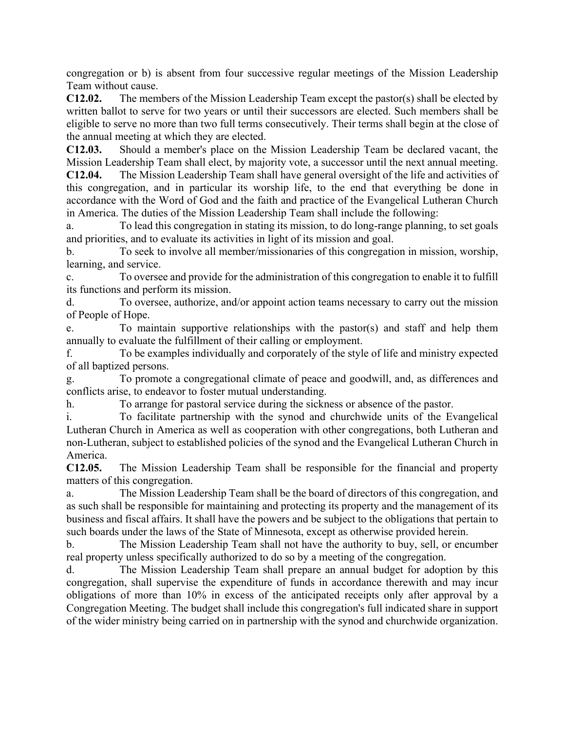congregation or b) is absent from four successive regular meetings of the Mission Leadership Team without cause.

**C12.02.** The members of the Mission Leadership Team except the pastor(s) shall be elected by written ballot to serve for two years or until their successors are elected. Such members shall be eligible to serve no more than two full terms consecutively. Their terms shall begin at the close of the annual meeting at which they are elected.

**C12.03.** Should a member's place on the Mission Leadership Team be declared vacant, the Mission Leadership Team shall elect, by majority vote, a successor until the next annual meeting.

**C12.04.** The Mission Leadership Team shall have general oversight of the life and activities of this congregation, and in particular its worship life, to the end that everything be done in accordance with the Word of God and the faith and practice of the Evangelical Lutheran Church in America. The duties of the Mission Leadership Team shall include the following:

a. To lead this congregation in stating its mission, to do long-range planning, to set goals and priorities, and to evaluate its activities in light of its mission and goal.

b. To seek to involve all member/missionaries of this congregation in mission, worship, learning, and service.

c. To oversee and provide for the administration of this congregation to enable it to fulfill its functions and perform its mission.

d. To oversee, authorize, and/or appoint action teams necessary to carry out the mission of People of Hope.

e. To maintain supportive relationships with the pastor(s) and staff and help them annually to evaluate the fulfillment of their calling or employment.

f. To be examples individually and corporately of the style of life and ministry expected of all baptized persons.

g. To promote a congregational climate of peace and goodwill, and, as differences and conflicts arise, to endeavor to foster mutual understanding.

h. To arrange for pastoral service during the sickness or absence of the pastor.

i. To facilitate partnership with the synod and churchwide units of the Evangelical Lutheran Church in America as well as cooperation with other congregations, both Lutheran and non-Lutheran, subject to established policies of the synod and the Evangelical Lutheran Church in America.

**C12.05.** The Mission Leadership Team shall be responsible for the financial and property matters of this congregation.

a. The Mission Leadership Team shall be the board of directors of this congregation, and as such shall be responsible for maintaining and protecting its property and the management of its business and fiscal affairs. It shall have the powers and be subject to the obligations that pertain to such boards under the laws of the State of Minnesota, except as otherwise provided herein.

b. The Mission Leadership Team shall not have the authority to buy, sell, or encumber real property unless specifically authorized to do so by a meeting of the congregation.

d. The Mission Leadership Team shall prepare an annual budget for adoption by this congregation, shall supervise the expenditure of funds in accordance therewith and may incur obligations of more than 10% in excess of the anticipated receipts only after approval by a Congregation Meeting. The budget shall include this congregation's full indicated share in support of the wider ministry being carried on in partnership with the synod and churchwide organization.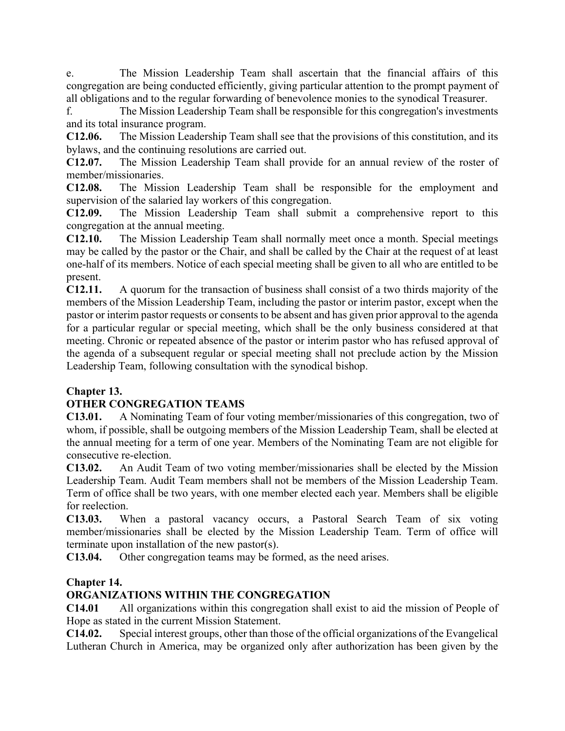e. The Mission Leadership Team shall ascertain that the financial affairs of this congregation are being conducted efficiently, giving particular attention to the prompt payment of all obligations and to the regular forwarding of benevolence monies to the synodical Treasurer.

f. The Mission Leadership Team shall be responsible for this congregation's investments and its total insurance program.

**C12.06.** The Mission Leadership Team shall see that the provisions of this constitution, and its bylaws, and the continuing resolutions are carried out.

**C12.07.** The Mission Leadership Team shall provide for an annual review of the roster of member/missionaries.

**C12.08.** The Mission Leadership Team shall be responsible for the employment and supervision of the salaried lay workers of this congregation.

**C12.09.** The Mission Leadership Team shall submit a comprehensive report to this congregation at the annual meeting.

**C12.10.** The Mission Leadership Team shall normally meet once a month. Special meetings may be called by the pastor or the Chair, and shall be called by the Chair at the request of at least one-half of its members. Notice of each special meeting shall be given to all who are entitled to be present.

**C12.11.** A quorum for the transaction of business shall consist of a two thirds majority of the members of the Mission Leadership Team, including the pastor or interim pastor, except when the pastor or interim pastor requests or consents to be absent and has given prior approval to the agenda for a particular regular or special meeting, which shall be the only business considered at that meeting. Chronic or repeated absence of the pastor or interim pastor who has refused approval of the agenda of a subsequent regular or special meeting shall not preclude action by the Mission Leadership Team, following consultation with the synodical bishop.

## **Chapter 13.**

## **OTHER CONGREGATION TEAMS**

**C13.01.** A Nominating Team of four voting member/missionaries of this congregation, two of whom, if possible, shall be outgoing members of the Mission Leadership Team, shall be elected at the annual meeting for a term of one year. Members of the Nominating Team are not eligible for consecutive re-election.

**C13.02.** An Audit Team of two voting member/missionaries shall be elected by the Mission Leadership Team. Audit Team members shall not be members of the Mission Leadership Team. Term of office shall be two years, with one member elected each year. Members shall be eligible for reelection.

**C13.03.** When a pastoral vacancy occurs, a Pastoral Search Team of six voting member/missionaries shall be elected by the Mission Leadership Team. Term of office will terminate upon installation of the new pastor(s).

**C13.04.** Other congregation teams may be formed, as the need arises.

#### **Chapter 14.**

## **ORGANIZATIONS WITHIN THE CONGREGATION**

**C14.01** All organizations within this congregation shall exist to aid the mission of People of Hope as stated in the current Mission Statement.

**C14.02.** Special interest groups, other than those of the official organizations of the Evangelical Lutheran Church in America, may be organized only after authorization has been given by the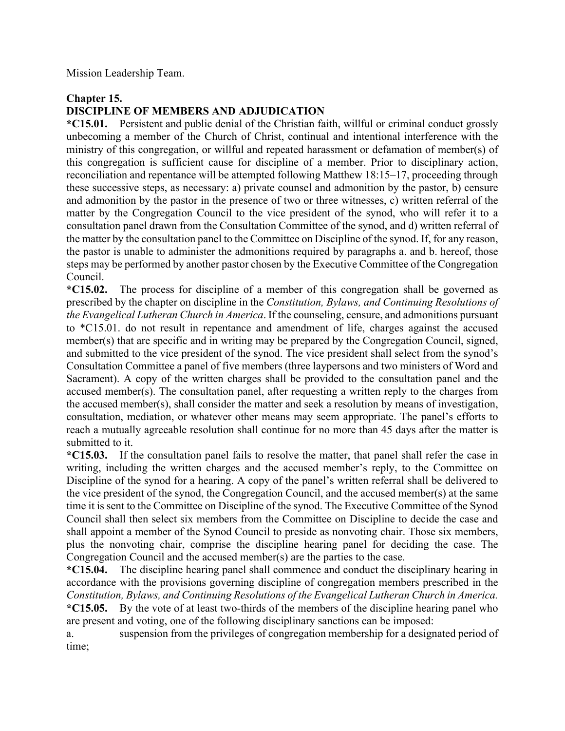Mission Leadership Team.

#### **Chapter 15.**

## **DISCIPLINE OF MEMBERS AND ADJUDICATION**

**\*C15.01.** Persistent and public denial of the Christian faith, willful or criminal conduct grossly unbecoming a member of the Church of Christ, continual and intentional interference with the ministry of this congregation, or willful and repeated harassment or defamation of member(s) of this congregation is sufficient cause for discipline of a member. Prior to disciplinary action, reconciliation and repentance will be attempted following Matthew 18:15–17, proceeding through these successive steps, as necessary: a) private counsel and admonition by the pastor, b) censure and admonition by the pastor in the presence of two or three witnesses, c) written referral of the matter by the Congregation Council to the vice president of the synod, who will refer it to a consultation panel drawn from the Consultation Committee of the synod, and d) written referral of the matter by the consultation panel to the Committee on Discipline of the synod. If, for any reason, the pastor is unable to administer the admonitions required by paragraphs a. and b. hereof, those steps may be performed by another pastor chosen by the Executive Committee of the Congregation Council.

**\*C15.02.** The process for discipline of a member of this congregation shall be governed as prescribed by the chapter on discipline in the *Constitution, Bylaws, and Continuing Resolutions of the Evangelical Lutheran Church in America*. If the counseling, censure, and admonitions pursuant to \*C15.01. do not result in repentance and amendment of life, charges against the accused member(s) that are specific and in writing may be prepared by the Congregation Council, signed, and submitted to the vice president of the synod. The vice president shall select from the synod's Consultation Committee a panel of five members (three laypersons and two ministers of Word and Sacrament). A copy of the written charges shall be provided to the consultation panel and the accused member(s). The consultation panel, after requesting a written reply to the charges from the accused member(s), shall consider the matter and seek a resolution by means of investigation, consultation, mediation, or whatever other means may seem appropriate. The panel's efforts to reach a mutually agreeable resolution shall continue for no more than 45 days after the matter is submitted to it.

**\*C15.03.** If the consultation panel fails to resolve the matter, that panel shall refer the case in writing, including the written charges and the accused member's reply, to the Committee on Discipline of the synod for a hearing. A copy of the panel's written referral shall be delivered to the vice president of the synod, the Congregation Council, and the accused member(s) at the same time it is sent to the Committee on Discipline of the synod. The Executive Committee of the Synod Council shall then select six members from the Committee on Discipline to decide the case and shall appoint a member of the Synod Council to preside as nonvoting chair. Those six members, plus the nonvoting chair, comprise the discipline hearing panel for deciding the case. The Congregation Council and the accused member(s) are the parties to the case.

**\*C15.04.** The discipline hearing panel shall commence and conduct the disciplinary hearing in accordance with the provisions governing discipline of congregation members prescribed in the *Constitution, Bylaws, and Continuing Resolutions of the Evangelical Lutheran Church in America.* **\*C15.05.** By the vote of at least two-thirds of the members of the discipline hearing panel who are present and voting, one of the following disciplinary sanctions can be imposed:

a. suspension from the privileges of congregation membership for a designated period of time;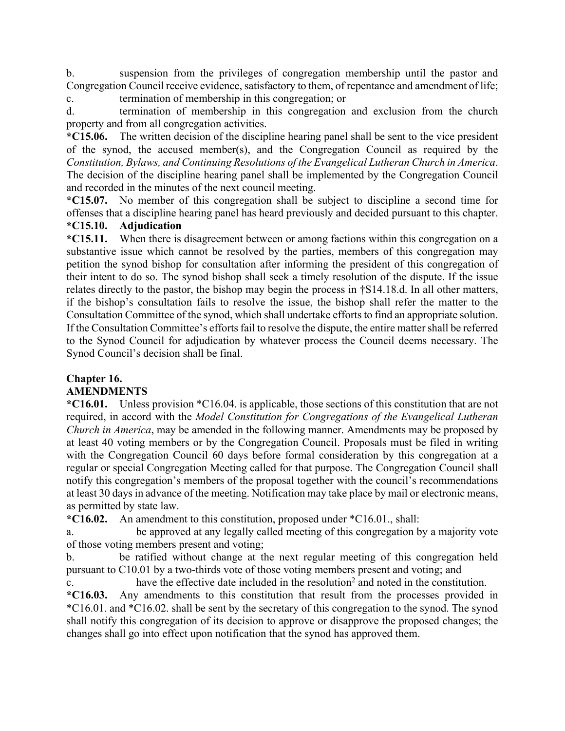b. suspension from the privileges of congregation membership until the pastor and Congregation Council receive evidence, satisfactory to them, of repentance and amendment of life;

c. termination of membership in this congregation; or

d. termination of membership in this congregation and exclusion from the church property and from all congregation activities.

**\*C15.06.** The written decision of the discipline hearing panel shall be sent to the vice president of the synod, the accused member(s), and the Congregation Council as required by the *Constitution, Bylaws, and Continuing Resolutions of the Evangelical Lutheran Church in America*. The decision of the discipline hearing panel shall be implemented by the Congregation Council and recorded in the minutes of the next council meeting.

**\*C15.07.** No member of this congregation shall be subject to discipline a second time for offenses that a discipline hearing panel has heard previously and decided pursuant to this chapter.

## **\*C15.10. Adjudication**

**\*C15.11.** When there is disagreement between or among factions within this congregation on a substantive issue which cannot be resolved by the parties, members of this congregation may petition the synod bishop for consultation after informing the president of this congregation of their intent to do so. The synod bishop shall seek a timely resolution of the dispute. If the issue relates directly to the pastor, the bishop may begin the process in †S14.18.d. In all other matters, if the bishop's consultation fails to resolve the issue, the bishop shall refer the matter to the Consultation Committee of the synod, which shall undertake efforts to find an appropriate solution. If the Consultation Committee's efforts fail to resolve the dispute, the entire matter shall be referred to the Synod Council for adjudication by whatever process the Council deems necessary. The Synod Council's decision shall be final.

# **Chapter 16.**

## **AMENDMENTS**

**\*C16.01.** Unless provision \*C16.04. is applicable, those sections of this constitution that are not required, in accord with the *Model Constitution for Congregations of the Evangelical Lutheran Church in America*, may be amended in the following manner. Amendments may be proposed by at least 40 voting members or by the Congregation Council. Proposals must be filed in writing with the Congregation Council 60 days before formal consideration by this congregation at a regular or special Congregation Meeting called for that purpose. The Congregation Council shall notify this congregation's members of the proposal together with the council's recommendations at least 30 days in advance of the meeting. Notification may take place by mail or electronic means, as permitted by state law.

**\*C16.02.** An amendment to this constitution, proposed under \*C16.01., shall:

a. be approved at any legally called meeting of this congregation by a majority vote of those voting members present and voting;

b. be ratified without change at the next regular meeting of this congregation held pursuant to C10.01 by a two-thirds vote of those voting members present and voting; and

c. have the effective date included in the resolution2 and noted in the constitution.

**\*C16.03.** Any amendments to this constitution that result from the processes provided in \*C16.01. and \*C16.02. shall be sent by the secretary of this congregation to the synod. The synod shall notify this congregation of its decision to approve or disapprove the proposed changes; the changes shall go into effect upon notification that the synod has approved them.